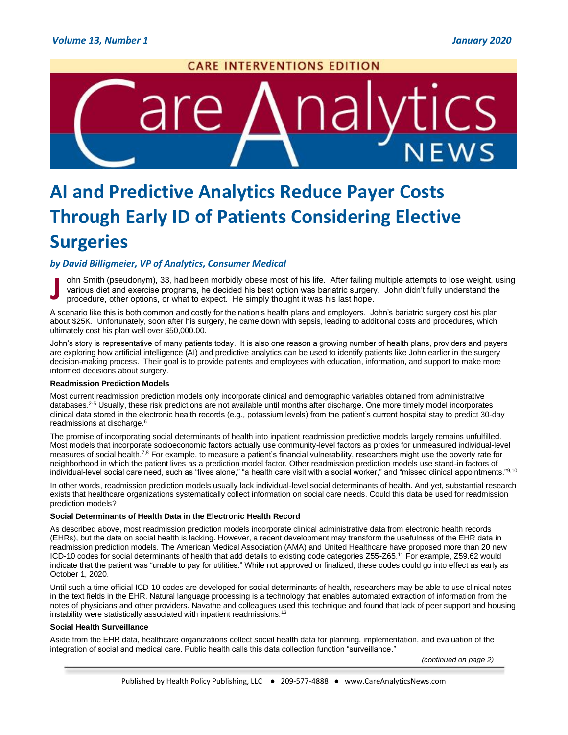

# **AI and Predictive Analytics Reduce Payer Costs Through Early ID of Patients Considering Elective Surgeries**

# *by David Billigmeier, VP of Analytics, Consumer Medical*

ohn Smith (pseudonym), 33, had been morbidly obese most of his life. After failing multiple attempts to lose weight, using various diet and exercise programs, he decided his best option was bariatric surgery. John didn't fully understand the procedure, other options, or what to expect. He simply thought it was his last hope. **J**

A scenario like this is both common and costly for the nation's health plans and employers. John's bariatric surgery cost his plan about \$25K. Unfortunately, soon after his surgery, he came down with sepsis, leading to additional costs and procedures, which ultimately cost his plan well over \$50,000.00.

John's story is representative of many patients today. It is also one reason a growing number of health plans, providers and payers are exploring how artificial intelligence (AI) and predictive analytics can be used to identify patients like John earlier in the surgery decision-making process. Their goal is to provide patients and employees with education, information, and support to make more informed decisions about surgery.

### **Readmission Prediction Models**

Most current readmission prediction models only incorporate clinical and demographic variables obtained from administrative databases.2-5 Usually, these risk predictions are not available until months after discharge. One more timely model incorporates clinical data stored in the electronic health records (e.g., potassium levels) from the patient's current hospital stay to predict 30-day readmissions at discharge.<sup>6</sup>

The promise of incorporating social determinants of health into inpatient readmission predictive models largely remains unfulfilled. Most models that incorporate socioeconomic factors actually use community-level factors as proxies for unmeasured individual-level measures of social health.<sup>7,8</sup> For example, to measure a patient's financial vulnerability, researchers might use the poverty rate for neighborhood in which the patient lives as a prediction model factor. Other readmission prediction models use stand-in factors of individual-level social care need, such as "lives alone," "a health care visit with a social worker," and "missed clinical appointments."9,10

In other words, readmission prediction models usually lack individual-level social determinants of health. And yet, substantial research exists that healthcare organizations systematically collect information on social care needs. Could this data be used for readmission prediction models?

### **Social Determinants of Health Data in the Electronic Health Record**

As described above, most readmission prediction models incorporate clinical administrative data from electronic health records (EHRs), but the data on social health is lacking. However, a recent development may transform the usefulness of the EHR data in readmission prediction models. The American Medical Association (AMA) and United Healthcare have proposed more than 20 new ICD-10 codes for social determinants of health that add details to existing code categories Z55-Z65.<sup>11</sup> For example, Z59.62 would indicate that the patient was "unable to pay for utilities." While not approved or finalized, these codes could go into effect as early as October 1, 2020.

Until such a time official ICD-10 codes are developed for social determinants of health, researchers may be able to use clinical notes in the text fields in the EHR. Natural language processing is a technology that enables automated extraction of information from the notes of physicians and other providers. Navathe and colleagues used this technique and found that lack of peer support and housing instability were statistically associated with inpatient readmissions.<sup>12</sup>

# **Social Health Surveillance**

Aside from the EHR data, healthcare organizations collect social health data for planning, implementation, and evaluation of the integration of social and medical care. Public health calls this data collection function "surveillance."

*(continued on page 2)*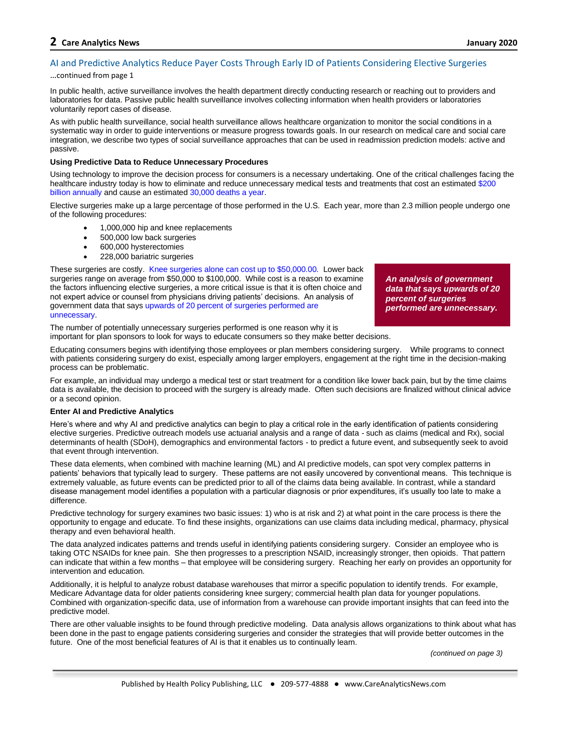# **2 Care Analytics News January 2020**

# AI and Predictive Analytics Reduce Payer Costs Through Early ID of Patients Considering Elective Surgeries

# …continued from page 1

In public health, active surveillance involves the health department directly conducting research or reaching out to providers and laboratories for data. Passive public health surveillance involves collecting information when health providers or laboratories voluntarily report cases of disease.

As with public health surveillance, social health surveillance allows healthcare organization to monitor the social conditions in a systematic way in order to guide interventions or measure progress towards goals. In our research on medical care and social care integration, we describe two types of social surveillance approaches that can be used in readmission prediction models: active and passive.

# **Using Predictive Data to Reduce Unnecessary Procedures**

Using technology to improve the decision process for consumers is a necessary undertaking. One of the critical challenges facing the healthcare industry today is how to eliminate and reduce unnecessary medical tests and treatments that cost an estimate[d \\$200](https://www.pbs.org/newshour/health/200-billion-perils-unnecessary-medical-tests)  [billion annually](https://www.pbs.org/newshour/health/200-billion-perils-unnecessary-medical-tests) and cause an estimate[d 30,000 deaths a year.](https://khn.org/news/putting-a-lid-on-waste-needless-medical-tests-not-only-cost-200b-they-can-do-harm/)

Elective surgeries make up a large percentage of those performed in the U.S. Each year, more than 2.3 million people undergo one of the following procedures:

- 1,000,000 hip and knee replacements
- 500,000 low back surgeries
- 600,000 hysterectomies
- 228,000 bariatric surgeries

These surgeries are costly. [Knee surgeries alone can cost up to \\$50,000.00.](https://www.wsj.com/articles/what-does-knee-surgery-cost-few-know-and-thats-a-problem-1534865358) Lower back surgeries range on average from \$50,000 to \$100,000. While cost is a reason to examine the factors influencing elective surgeries, a more critical issue is that it is often choice and not expert advice or counsel from physicians driving patients' decisions. An analysis of government data that say[s upwards of 20 percent of surgeries performed are](https://www.usatoday.com/story/news/nation/2013/06/18/unnecessary-surgery-usa-today-investigation/2435009/)  [unnecessary.](https://www.usatoday.com/story/news/nation/2013/06/18/unnecessary-surgery-usa-today-investigation/2435009/)

*An analysis of government data that says upwards of 20 percent of surgeries performed are unnecessary.*

The number of potentially unnecessary surgeries performed is one reason why it is important for plan sponsors to look for ways to educate consumers so they make better decisions.

Educating consumers begins with identifying those employees or plan members considering surgery. While programs to connect with patients considering surgery do exist, especially among larger employers, engagement at the right time in the decision-making process can be problematic.

For example, an individual may undergo a medical test or start treatment for a condition like lower back pain, but by the time claims data is available, the decision to proceed with the surgery is already made. Often such decisions are finalized without clinical advice or a second opinion.

### **Enter AI and Predictive Analytics**

Here's where and why AI and predictive analytics can begin to play a critical role in the early identification of patients considering elective surgeries. Predictive outreach models use actuarial analysis and a range of data - such as claims (medical and Rx), social determinants of health (SDoH), demographics and environmental factors - to predict a future event, and subsequently seek to avoid that event through intervention.

These data elements, when combined with machine learning (ML) and AI predictive models, can spot very complex patterns in patients' behaviors that typically lead to surgery. These patterns are not easily uncovered by conventional means. This technique is extremely valuable, as future events can be predicted prior to all of the claims data being available. In contrast, while a standard disease management model identifies a population with a particular diagnosis or prior expenditures, it's usually too late to make a difference.

Predictive technology for surgery examines two basic issues: 1) who is at risk and 2) at what point in the care process is there the opportunity to engage and educate. To find these insights, organizations can use claims data including medical, pharmacy, physical therapy and even behavioral health.

The data analyzed indicates patterns and trends useful in identifying patients considering surgery. Consider an employee who is taking OTC NSAIDs for knee pain. She then progresses to a prescription NSAID, increasingly stronger, then opioids. That pattern can indicate that within a few months – that employee will be considering surgery. Reaching her early on provides an opportunity for intervention and education.

Additionally, it is helpful to analyze robust database warehouses that mirror a specific population to identify trends. For example, Medicare Advantage data for older patients considering knee surgery; commercial health plan data for younger populations. Combined with organization-specific data, use of information from a warehouse can provide important insights that can feed into the predictive model.

There are other valuable insights to be found through predictive modeling. Data analysis allows organizations to think about what has been done in the past to engage patients considering surgeries and consider the strategies that will provide better outcomes in the future. One of the most beneficial features of AI is that it enables us to continually learn.

*(continued on page 3)*